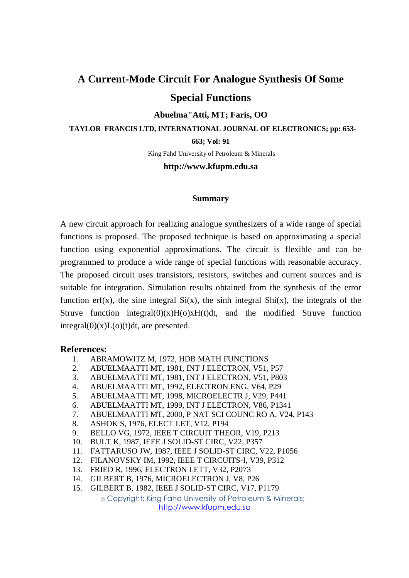# **A Current-Mode Circuit For Analogue Synthesis Of Some Special Functions**

#### **Abuelma"Atti, MT; Faris, OO**

 **TAYLOR FRANCIS LTD, INTERNATIONAL JOURNAL OF ELECTRONICS; pp: 653-**

**663; Vol: 91** 

King Fahd University of Petroleum & Minerals

## **http://www.kfupm.edu.sa**

#### **Summary**

A new circuit approach for realizing analogue synthesizers of a wide range of special functions is proposed. The proposed technique is based on approximating a special function using exponential approximations. The circuit is flexible and can be programmed to produce a wide range of special functions with reasonable accuracy. The proposed circuit uses transistors, resistors, switches and current sources and is suitable for integration. Simulation results obtained from the synthesis of the error function erf(x), the sine integral  $Si(x)$ , the sinh integral  $Shi(x)$ , the integrals of the Struve function integral $(0)(x)H(0)xH(t)dt$ , and the modified Struve function  $integral(0)(x)L(o)(t)dt$ , are presented.

## **References:**

- 1. ABRAMOWITZ M, 1972, HDB MATH FUNCTIONS
- 2. ABUELMAATTI MT, 1981, INT J ELECTRON, V51, P57
- 3. ABUELMAATTI MT, 1981, INT J ELECTRON, V51, P803
- 4. ABUELMAATTI MT, 1992, ELECTRON ENG, V64, P29
- 5. ABUELMAATTI MT, 1998, MICROELECTR J, V29, P441
- 6. ABUELMAATTI MT, 1999, INT J ELECTRON, V86, P1341
- 7. ABUELMAATTI MT, 2000, P NAT SCI COUNC RO A, V24, P143
- 8. ASHOK S, 1976, ELECT LET, V12, P194
- 9. BELLO VG, 1972, IEEE T CIRCUIT THEOR, V19, P213
- 10. BULT K, 1987, IEEE J SOLID-ST CIRC, V22, P357
- 11. FATTARUSO JW, 1987, IEEE J SOLID-ST CIRC, V22, P1056
- 12. FILANOVSKY IM, 1992, IEEE T CIRCUITS-I, V39, P312
- 13. FRIED R, 1996, ELECTRON LETT, V32, P2073
- 14. GILBERT B, 1976, MICROELECTRON J, V8, P26
- 15. GILBERT B, 1982, IEEE J SOLID-ST CIRC, V17, P1179

© Copyright: King Fahd University of Petroleum & Minerals; http://www.kfupm.edu.sa